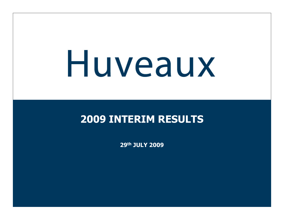# Huveaux

## **2009 INTERIM RESULTS**

**29th JULY 2009**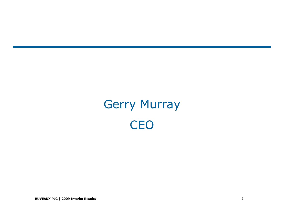# Gerry Murray**CEO**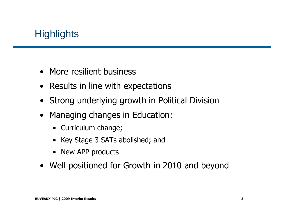## **Highlights**

- More resilient business
- Results in line with expectations
- Strong underlying growth in Political Division
- Managing changes in Education:
	- Curriculum change;
	- Key Stage 3 SATs abolished; and
	- New APP products
- Well positioned for Growth in 2010 and beyond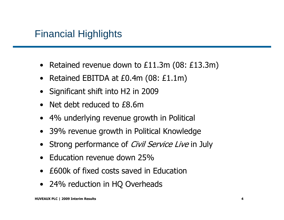#### Financial Highlights

- Retained revenue down to £11.3m (08: £13.3m)
- Retained EBITDA at £0.4m (08: £1.1m)
- Significant shift into H2 in 2009
- •Net debt reduced to £8.6m
- 4% underlying revenue growth in Political
- 39% revenue growth in Political Knowledge
- •Strong performance of *Civil Service Live* in July
- Education revenue down 25%
- £600k of fixed costs saved in Education
- 24% reduction in HQ Overheads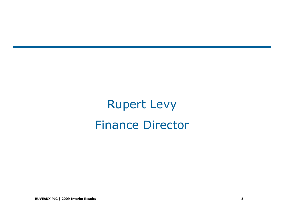# Rupert LevyFinance Director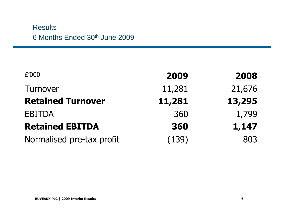#### **Results** 6 Months Ended 30<sup>th</sup> June 2009

| £'000                     | 2009   | 2008   |
|---------------------------|--------|--------|
| <b>Turnover</b>           | 11,281 | 21,676 |
| <b>Retained Turnover</b>  | 11,281 | 13,295 |
| <b>EBITDA</b>             | 360    | 1,799  |
| <b>Retained EBITDA</b>    | 360    | 1,147  |
| Normalised pre-tax profit | (139)  | 803    |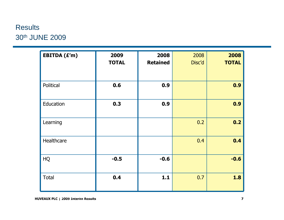#### **Results** 30th JUNE 2009

| EBITDA (£'m) | 2009         | 2008            | 2008   | 2008         |
|--------------|--------------|-----------------|--------|--------------|
|              | <b>TOTAL</b> | <b>Retained</b> | Disc'd | <b>TOTAL</b> |
| Political    | 0.6          | 0.9             |        | 0.9          |
| Education    | 0.3          | 0.9             |        | 0.9          |
| Learning     |              |                 | 0.2    | 0.2          |
| Healthcare   |              |                 | 0.4    | 0.4          |
| HQ           | $-0.5$       | $-0.6$          |        | $-0.6$       |
| <b>Total</b> | 0.4          | 1.1             | 0.7    | 1.8          |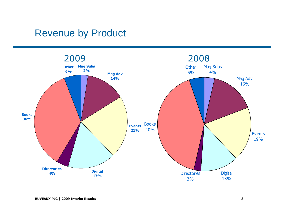#### Revenue by Product

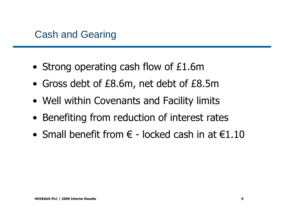- Strong operating cash flow of £1.6m
- Gross debt of £8.6m, net debt of £8.5m
- Well within Covenants and Facility limits
- Benefiting from reduction of interest rates
- Small benefit from  $\epsilon$  locked cash in at  $\epsilon$ 1.10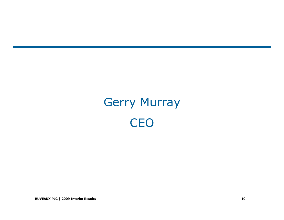# Gerry Murray**CEO**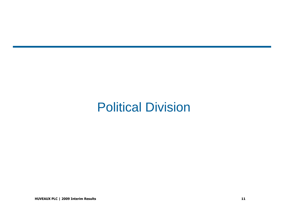## Political Division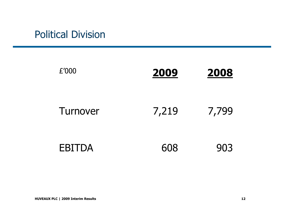## Political Division

| £'000         | 2009  | 2008  |
|---------------|-------|-------|
| Turnover      | 7,219 | 7,799 |
| <b>EBITDA</b> | 608   | 903   |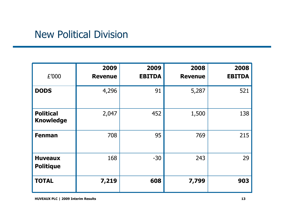#### New Political Division

| £'000                                | 2009<br><b>Revenue</b> | 2009<br><b>EBITDA</b> | 2008<br><b>Revenue</b> | 2008<br><b>EBITDA</b> |
|--------------------------------------|------------------------|-----------------------|------------------------|-----------------------|
| <b>DODS</b>                          | 4,296                  | 91                    | 5,287                  | 521                   |
| <b>Political</b><br><b>Knowledge</b> | 2,047                  | 452                   | 1,500                  | 138                   |
| <b>Fenman</b>                        | 708                    | 95                    | 769                    | 215                   |
| <b>Huveaux</b><br><b>Politique</b>   | 168                    | $-30$                 | 243                    | 29                    |
| <b>TOTAL</b>                         | 7,219                  | 608                   | 7,799                  | 903                   |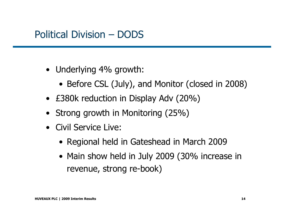#### Political Division – DODS

- Underlying 4% growth:
	- Before CSL (July), and Monitor (closed in 2008)<br>reserved in the set of the case of
- £380k reduction in Display Adv (20%)
- Strong growth in Monitoring (25%)
- Civil Service Live:
	- Regional held in Gateshead in March 2009
	- Main show held in July 2009 (30% increase in<br>maximus strease released revenue, strong re-book)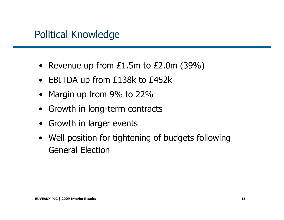#### Political Knowledge

- Revenue up from £1.5m to £2.0m (39%)
- EBITDA up from £138k to £452k
- $\bullet$ Margin up from 9% to 22%
- Growth in long-term contracts
- Growth in larger events
- Well position for tightening of budgets following General Election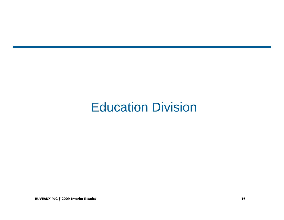# Education Division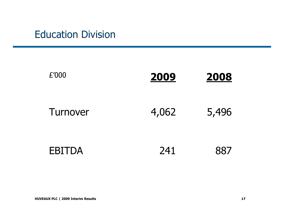## Education Division

| £'000         | 2009  | <b>2008</b> |
|---------------|-------|-------------|
| Turnover      | 4,062 | 5,496       |
| <b>EBITDA</b> | 241   | 887         |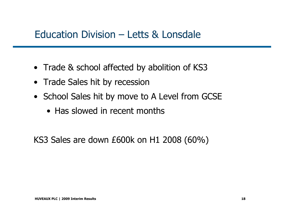#### Education Division – Letts & Lonsdale

- Trade & school affected by abolition of KS3
- Trade Sales hit by recession
- School Sales hit by move to A Level from GCSE
	- Has slowed in recent months

KS3 Sales are down £600k on H1 2008 (60%)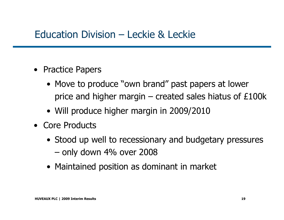#### Education Division – Leckie & Leckie

- Practice Papers
	- Move to produce "own brand" past papers at lower<br>Reference and bigher marging areated calos bigtus of C1 price and higher margin – created sales hiatus of  $£100k$
	- Will produce higher margin in 2009/2010
- Core Products
	- Stood up well to recessionary and budgetary pressures only down 4% over 2008
	- Maintained position as dominant in market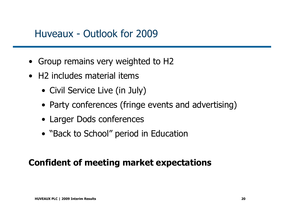#### Huveaux - Outlook for 2009

- Group remains very weighted to H2
- H2 includes material items
	- Civil Service Live (in July)
	- Party conferences (fringe events and advertising)
	- Larger Dods conferences
	- "Back to School" period in Education

#### **Confident of meeting market expectations**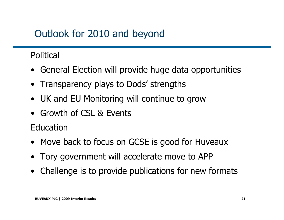## Outlook for 2010 and beyond

#### Political

- General Election will provide huge data opportunities
- Transparency plays to Dods' strengths
- UK and EU Monitoring will continue to grow
- Growth of CSL & Events

Education

- Move back to focus on GCSE is good for Huveaux
- Tory government will accelerate move to APP
- Challenge is to provide publications for new formats